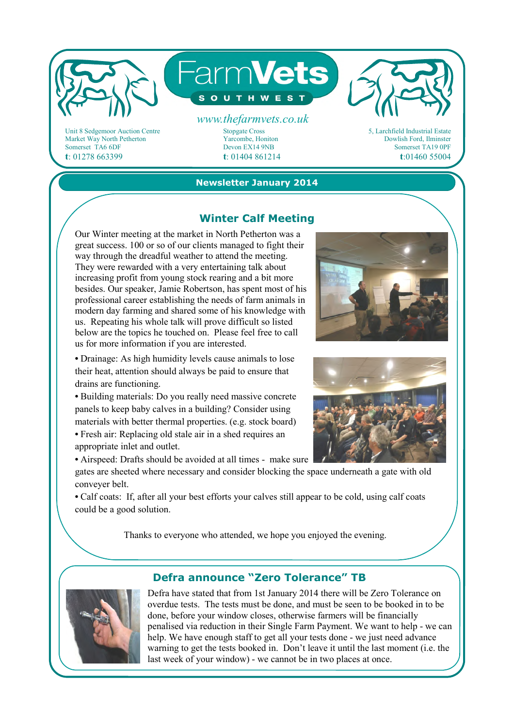

Unit 8 Sedgemoor Auction Centre Market Way North Petherton Somerset TA6 6DF **t**: 01278 663399

#### **Newsletter January 2014**

Yarcombe, Honiton Devon EX14 9NB **t**: 01404 861214

#### **Winter Calf Meeting**

Our Winter meeting at the market in North Petherton was a great success. 100 or so of our clients managed to fight their way through the dreadful weather to attend the meeting. They were rewarded with a very entertaining talk about increasing profit from young stock rearing and a bit more besides. Our speaker, Jamie Robertson, has spent most of his professional career establishing the needs of farm animals in modern day farming and shared some of his knowledge with us. Repeating his whole talk will prove difficult so listed below are the topics he touched on. Please feel free to call us for more information if you are interested.

**•** Drainage: As high humidity levels cause animals to lose their heat, attention should always be paid to ensure that drains are functioning.

**•** Building materials: Do you really need massive concrete panels to keep baby calves in a building? Consider using materials with better thermal properties. (e.g. stock board)

**•** Fresh air: Replacing old stale air in a shed requires an appropriate inlet and outlet.

**•** Airspeed: Drafts should be avoided at all times - make sure

gates are sheeted where necessary and consider blocking the space underneath a gate with old conveyer belt.

**•** Calf coats: If, after all your best efforts your calves still appear to be cold, using calf coats could be a good solution.

Thanks to everyone who attended, we hope you enjoyed the evening.



**Defra announce "Zero Tolerance" TB** 

Defra have stated that from 1st January 2014 there will be Zero Tolerance on overdue tests. The tests must be done, and must be seen to be booked in to be done, before your window closes, otherwise farmers will be financially penalised via reduction in their Single Farm Payment. We want to help - we can help. We have enough staff to get all your tests done - we just need advance warning to get the tests booked in. Don't leave it until the last moment (i.e. the last week of your window) - we cannot be in two places at once.



Dowlish Ford, Ilminster Somerset TA19 0PF **t**:01460 55004